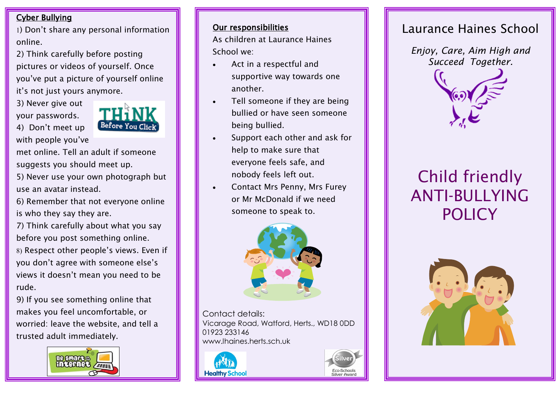### Cyber Bullying

1) Don't share any personal information online.

2) Think carefully before posting pictures or videos of yourself. Once you've put a picture of yourself online it's not just yours anymore.

3) Never give out your passwords.

4) Don't meet up



with people you've met online. Tell an adult if someone

suggests you should meet up.

5) Never use your own photograph but use an avatar instead.

6) Remember that not everyone online is who they say they are.

7) Think carefully about what you say before you post something online.

8) Respect other people's views. Even if you don't agree with someone else's views it doesn't mean you need to be rude.

9) If you see something online that makes you feel uncomfortable, or worried: leave the website, and tell a trusted adult immediately.



#### Our responsibilities

As children at Laurance Haines School we:

- Act in a respectful and supportive way towards one another.
- Tell someone if they are being bullied or have seen someone being bullied.
- Support each other and ask for help to make sure that everyone feels safe, and nobody feels left out.
- Contact Mrs Penny, Mrs Furey or Mr McDonald if we need someone to speak to.



Contact details: Vicarage Road, Watford, Herts., WD18 0DD 01923 233146 www.lhaines.herts.sch.uk





# Laurance Haines School

*Enjoy, Care, Aim High and Succeed Together.*



# Child friendly ANTI-BULLYING **POLICY**